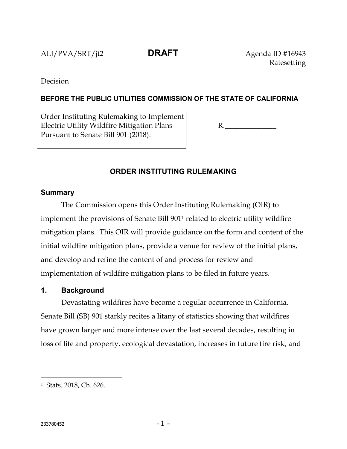ALJ/PVA/SRT/jt2 **DRAFT** Agenda ID #16943

Ratesetting

**Decision** 

# **BEFORE THE PUBLIC UTILITIES COMMISSION OF THE STATE OF CALIFORNIA**

Order Instituting Rulemaking to Implement Electric Utility Wildfire Mitigation Plans Pursuant to Senate Bill 901 (2018).

R.\_\_\_\_\_\_\_\_\_\_\_\_\_\_

# **ORDER INSTITUTING RULEMAKING**

#### **Summary**

The Commission opens this Order Instituting Rulemaking (OIR) to implement the provisions of Senate Bill 901<sup>1</sup> related to electric utility wildfire mitigation plans. This OIR will provide guidance on the form and content of the initial wildfire mitigation plans, provide a venue for review of the initial plans, and develop and refine the content of and process for review and implementation of wildfire mitigation plans to be filed in future years.

### **1. Background**

Devastating wildfires have become a regular occurrence in California. Senate Bill (SB) 901 starkly recites a litany of statistics showing that wildfires have grown larger and more intense over the last several decades, resulting in loss of life and property, ecological devastation, increases in future fire risk, and

<sup>1</sup> Stats. 2018, Ch. 626.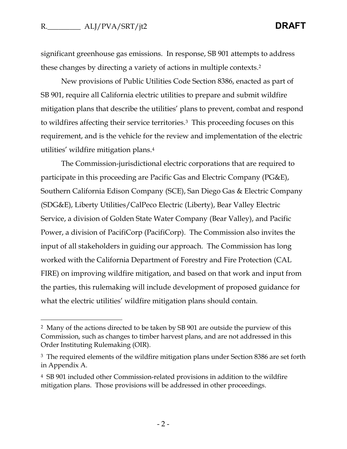significant greenhouse gas emissions. In response, SB 901 attempts to address these changes by directing a variety of actions in multiple contexts.<sup>2</sup>

New provisions of Public Utilities Code Section 8386, enacted as part of SB 901, require all California electric utilities to prepare and submit wildfire mitigation plans that describe the utilities' plans to prevent, combat and respond to wildfires affecting their service territories.3 This proceeding focuses on this requirement, and is the vehicle for the review and implementation of the electric utilities' wildfire mitigation plans.<sup>4</sup>

The Commission-jurisdictional electric corporations that are required to participate in this proceeding are Pacific Gas and Electric Company (PG&E), Southern California Edison Company (SCE), San Diego Gas & Electric Company (SDG&E), Liberty Utilities/CalPeco Electric (Liberty), Bear Valley Electric Service, a division of Golden State Water Company (Bear Valley), and Pacific Power, a division of PacifiCorp (PacifiCorp). The Commission also invites the input of all stakeholders in guiding our approach. The Commission has long worked with the California Department of Forestry and Fire Protection (CAL FIRE) on improving wildfire mitigation, and based on that work and input from the parties, this rulemaking will include development of proposed guidance for what the electric utilities' wildfire mitigation plans should contain.

<sup>2</sup> Many of the actions directed to be taken by SB 901 are outside the purview of this Commission, such as changes to timber harvest plans, and are not addressed in this Order Instituting Rulemaking (OIR).

<sup>&</sup>lt;sup>3</sup> The required elements of the wildfire mitigation plans under Section 8386 are set forth in Appendix A.

<sup>4</sup> SB 901 included other Commission-related provisions in addition to the wildfire mitigation plans. Those provisions will be addressed in other proceedings.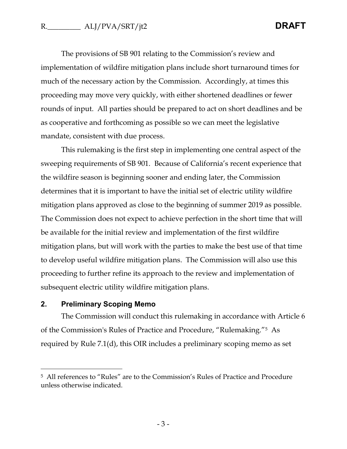The provisions of SB 901 relating to the Commission's review and implementation of wildfire mitigation plans include short turnaround times for much of the necessary action by the Commission. Accordingly, at times this proceeding may move very quickly, with either shortened deadlines or fewer rounds of input. All parties should be prepared to act on short deadlines and be as cooperative and forthcoming as possible so we can meet the legislative mandate, consistent with due process.

This rulemaking is the first step in implementing one central aspect of the sweeping requirements of SB 901. Because of California's recent experience that the wildfire season is beginning sooner and ending later, the Commission determines that it is important to have the initial set of electric utility wildfire mitigation plans approved as close to the beginning of summer 2019 as possible. The Commission does not expect to achieve perfection in the short time that will be available for the initial review and implementation of the first wildfire mitigation plans, but will work with the parties to make the best use of that time to develop useful wildfire mitigation plans. The Commission will also use this proceeding to further refine its approach to the review and implementation of subsequent electric utility wildfire mitigation plans.

# **2. Preliminary Scoping Memo**

 $\overline{a}$ 

The Commission will conduct this rulemaking in accordance with Article 6 of the Commission's Rules of Practice and Procedure, "Rulemaking."5 As required by Rule 7.1(d), this OIR includes a preliminary scoping memo as set

<sup>5</sup> All references to "Rules" are to the Commission's Rules of Practice and Procedure unless otherwise indicated.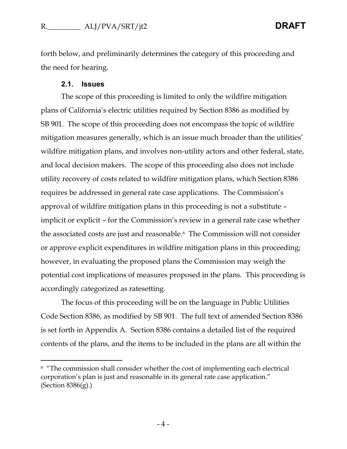forth below, and preliminarily determines the category of this proceeding and the need for hearing.

#### **2.1. Issues**

The scope of this proceeding is limited to only the wildfire mitigation plans of California's electric utilities required by Section 8386 as modified by SB 901. The scope of this proceeding does not encompass the topic of wildfire mitigation measures generally, which is an issue much broader than the utilities' wildfire mitigation plans, and involves non-utility actors and other federal, state, and local decision makers. The scope of this proceeding also does not include utility recovery of costs related to wildfire mitigation plans, which Section 8386 requires be addressed in general rate case applications. The Commission's approval of wildfire mitigation plans in this proceeding is not a substitute – implicit or explicit – for the Commission's review in a general rate case whether the associated costs are just and reasonable. <sup>6</sup> The Commission will not consider or approve explicit expenditures in wildfire mitigation plans in this proceeding; however, in evaluating the proposed plans the Commission may weigh the potential cost implications of measures proposed in the plans. This proceeding is accordingly categorized as ratesetting.

The focus of this proceeding will be on the language in Public Utilities Code Section 8386, as modified by SB 901. The full text of amended Section 8386 is set forth in Appendix A. Section 8386 contains a detailed list of the required contents of the plans, and the items to be included in the plans are all within the

<sup>&</sup>lt;sup>6</sup> "The commission shall consider whether the cost of implementing each electrical corporation's plan is just and reasonable in its general rate case application." (Section 8386(g).)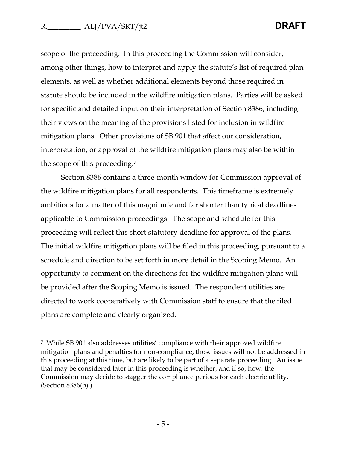scope of the proceeding. In this proceeding the Commission will consider, among other things, how to interpret and apply the statute's list of required plan elements, as well as whether additional elements beyond those required in statute should be included in the wildfire mitigation plans. Parties will be asked for specific and detailed input on their interpretation of Section 8386, including their views on the meaning of the provisions listed for inclusion in wildfire mitigation plans. Other provisions of SB 901 that affect our consideration, interpretation, or approval of the wildfire mitigation plans may also be within the scope of this proceeding.<sup>7</sup>

Section 8386 contains a three-month window for Commission approval of the wildfire mitigation plans for all respondents. This timeframe is extremely ambitious for a matter of this magnitude and far shorter than typical deadlines applicable to Commission proceedings. The scope and schedule for this proceeding will reflect this short statutory deadline for approval of the plans. The initial wildfire mitigation plans will be filed in this proceeding, pursuant to a schedule and direction to be set forth in more detail in the Scoping Memo. An opportunity to comment on the directions for the wildfire mitigation plans will be provided after the Scoping Memo is issued. The respondent utilities are directed to work cooperatively with Commission staff to ensure that the filed plans are complete and clearly organized.

<sup>7</sup> While SB 901 also addresses utilities' compliance with their approved wildfire mitigation plans and penalties for non-compliance, those issues will not be addressed in this proceeding at this time, but are likely to be part of a separate proceeding. An issue that may be considered later in this proceeding is whether, and if so, how, the Commission may decide to stagger the compliance periods for each electric utility. (Section 8386(b).)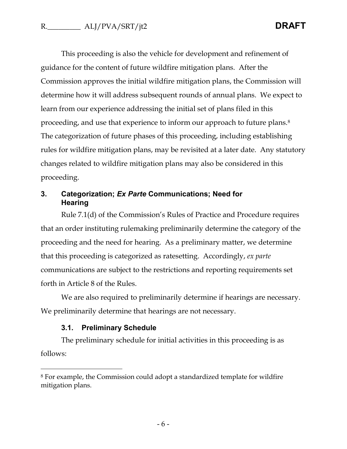This proceeding is also the vehicle for development and refinement of guidance for the content of future wildfire mitigation plans. After the Commission approves the initial wildfire mitigation plans, the Commission will determine how it will address subsequent rounds of annual plans. We expect to learn from our experience addressing the initial set of plans filed in this proceeding, and use that experience to inform our approach to future plans.<sup>8</sup> The categorization of future phases of this proceeding, including establishing rules for wildfire mitigation plans, may be revisited at a later date. Any statutory changes related to wildfire mitigation plans may also be considered in this proceeding.

# **3. Categorization;** *Ex Parte* **Communications; Need for Hearing**

Rule 7.1(d) of the Commission's Rules of Practice and Procedure requires that an order instituting rulemaking preliminarily determine the category of the proceeding and the need for hearing. As a preliminary matter, we determine that this proceeding is categorized as ratesetting. Accordingly, *ex parte* communications are subject to the restrictions and reporting requirements set forth in Article 8 of the Rules.

We are also required to preliminarily determine if hearings are necessary. We preliminarily determine that hearings are not necessary.

#### **3.1. Preliminary Schedule**

 $\overline{a}$ 

The preliminary schedule for initial activities in this proceeding is as follows:

<sup>8</sup> For example, the Commission could adopt a standardized template for wildfire mitigation plans.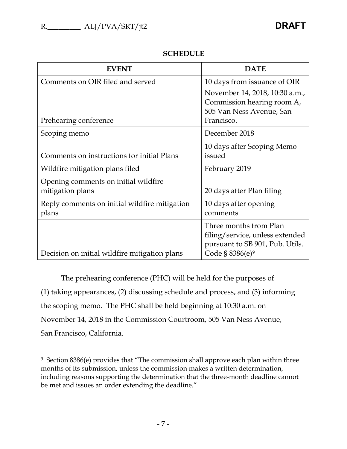$\overline{a}$ 

| <b>EVENT</b>                                             | <b>DATE</b>                                                                                                                 |
|----------------------------------------------------------|-----------------------------------------------------------------------------------------------------------------------------|
| Comments on OIR filed and served                         | 10 days from issuance of OIR                                                                                                |
| Prehearing conference                                    | November 14, 2018, 10:30 a.m.,<br>Commission hearing room A,<br>505 Van Ness Avenue, San<br>Francisco.                      |
| Scoping memo                                             | December 2018                                                                                                               |
| Comments on instructions for initial Plans               | 10 days after Scoping Memo<br>issued                                                                                        |
| Wildfire mitigation plans filed                          | February 2019                                                                                                               |
| Opening comments on initial wildfire<br>mitigation plans | 20 days after Plan filing                                                                                                   |
| Reply comments on initial wildfire mitigation<br>plans   | 10 days after opening<br>comments                                                                                           |
| Decision on initial wildfire mitigation plans            | Three months from Plan<br>filing/service, unless extended<br>pursuant to SB 901, Pub. Utils.<br>Code § 8386(e) <sup>9</sup> |

# **SCHEDULE**

The prehearing conference (PHC) will be held for the purposes of (1) taking appearances, (2) discussing schedule and process, and (3) informing the scoping memo. The PHC shall be held beginning at 10:30 a.m. on November 14, 2018 in the Commission Courtroom, 505 Van Ness Avenue, San Francisco, California.

<sup>9</sup> Section 8386(e) provides that "The commission shall approve each plan within three months of its submission, unless the commission makes a written determination, including reasons supporting the determination that the three-month deadline cannot be met and issues an order extending the deadline."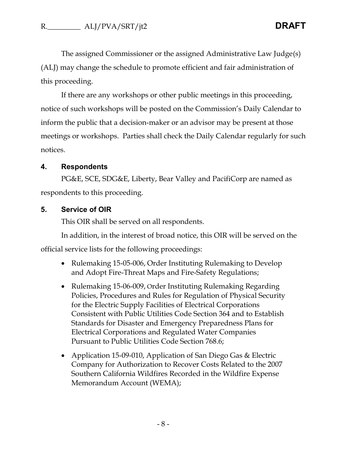The assigned Commissioner or the assigned Administrative Law Judge(s) (ALJ) may change the schedule to promote efficient and fair administration of this proceeding.

If there are any workshops or other public meetings in this proceeding, notice of such workshops will be posted on the Commission's Daily Calendar to inform the public that a decision-maker or an advisor may be present at those meetings or workshops. Parties shall check the Daily Calendar regularly for such notices.

#### **4. Respondents**

PG&E, SCE, SDG&E, Liberty, Bear Valley and PacifiCorp are named as respondents to this proceeding.

### **5. Service of OIR**

This OIR shall be served on all respondents.

In addition, in the interest of broad notice, this OIR will be served on the official service lists for the following proceedings:

- Rulemaking 15-05-006, Order Instituting Rulemaking to Develop and Adopt Fire-Threat Maps and Fire-Safety Regulations;
- Rulemaking 15-06-009, Order Instituting Rulemaking Regarding Policies, Procedures and Rules for Regulation of Physical Security for the Electric Supply Facilities of Electrical Corporations Consistent with Public Utilities Code Section 364 and to Establish Standards for Disaster and Emergency Preparedness Plans for Electrical Corporations and Regulated Water Companies Pursuant to Public Utilities Code Section 768.6;
- Application 15-09-010, Application of San Diego Gas & Electric Company for Authorization to Recover Costs Related to the 2007 Southern California Wildfires Recorded in the Wildfire Expense Memorandum Account (WEMA);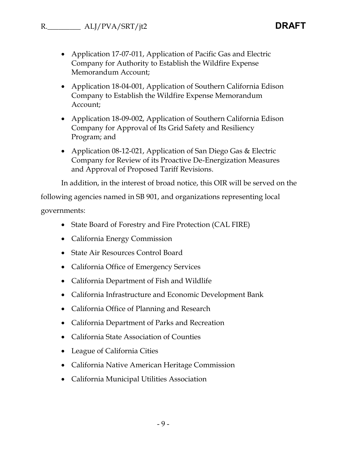- Application 17-07-011, Application of Pacific Gas and Electric Company for Authority to Establish the Wildfire Expense Memorandum Account;
- Application 18-04-001, Application of Southern California Edison Company to Establish the Wildfire Expense Memorandum Account;
- Application 18-09-002, Application of Southern California Edison Company for Approval of Its Grid Safety and Resiliency Program; and
- Application 08-12-021, Application of San Diego Gas & Electric Company for Review of its Proactive De-Energization Measures and Approval of Proposed Tariff Revisions.

In addition, in the interest of broad notice, this OIR will be served on the

following agencies named in SB 901, and organizations representing local governments:

- State Board of Forestry and Fire Protection (CAL FIRE)
- California Energy Commission
- State Air Resources Control Board
- California Office of Emergency Services
- California Department of Fish and Wildlife
- California Infrastructure and Economic Development Bank
- California Office of Planning and Research
- California Department of Parks and Recreation
- California State Association of Counties
- League of California Cities
- California Native American Heritage Commission
- California Municipal Utilities Association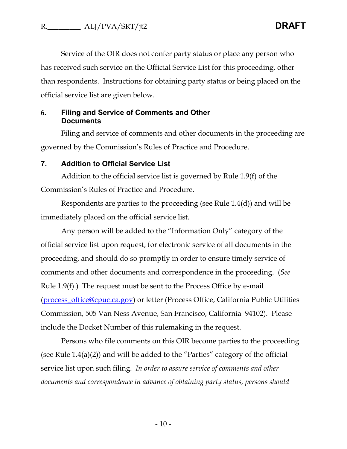Service of the OIR does not confer party status or place any person who has received such service on the Official Service List for this proceeding, other than respondents. Instructions for obtaining party status or being placed on the official service list are given below.

### **6. Filing and Service of Comments and Other Documents**

Filing and service of comments and other documents in the proceeding are governed by the Commission's Rules of Practice and Procedure.

#### **7. Addition to Official Service List**

Addition to the official service list is governed by Rule 1.9(f) of the Commission's Rules of Practice and Procedure.

Respondents are parties to the proceeding (see Rule 1.4(d)) and will be immediately placed on the official service list.

Any person will be added to the "Information Only" category of the official service list upon request, for electronic service of all documents in the proceeding, and should do so promptly in order to ensure timely service of comments and other documents and correspondence in the proceeding. (*See* Rule 1.9(f).) The request must be sent to the Process Office by e-mail [\(process\\_office@cpuc.ca.gov\)](mailto:process_office@cpuc.ca.gov) or letter (Process Office, California Public Utilities Commission, 505 Van Ness Avenue, San Francisco, California 94102). Please include the Docket Number of this rulemaking in the request.

Persons who file comments on this OIR become parties to the proceeding (see Rule 1.4(a)(2)) and will be added to the "Parties" category of the official service list upon such filing. *In order to assure service of comments and other documents and correspondence in advance of obtaining party status, persons should*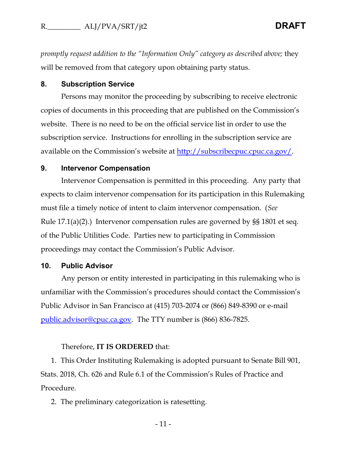*promptly request addition to the "Information Only" category as described above;* they will be removed from that category upon obtaining party status.

### **8. Subscription Service**

Persons may monitor the proceeding by subscribing to receive electronic copies of documents in this proceeding that are published on the Commission's website. There is no need to be on the official service list in order to use the subscription service. Instructions for enrolling in the subscription service are available on the Commission's website at [http://subscribecpuc.cpuc.ca.gov/.](http://subscribecpuc.cpuc.ca.gov/)

#### **9. Intervenor Compensation**

Intervenor Compensation is permitted in this proceeding. Any party that expects to claim intervenor compensation for its participation in this Rulemaking must file a timely notice of intent to claim intervenor compensation. (*See* Rule 17.1(a)(2).) Intervenor compensation rules are governed by §§ 1801 et seq. of the Public Utilities Code. Parties new to participating in Commission proceedings may contact the Commission's Public Advisor.

#### **10. Public Advisor**

Any person or entity interested in participating in this rulemaking who is unfamiliar with the Commission's procedures should contact the Commission's Public Advisor in San Francisco at (415) 703-2074 or (866) 849-8390 or e-mail [public.advisor@cpuc.ca.gov.](mailto:public.advisor@cpuc.ca.gov) The TTY number is (866) 836-7825.

#### Therefore, **IT IS ORDERED** that:

1. This Order Instituting Rulemaking is adopted pursuant to Senate Bill 901, Stats. 2018, Ch. 626 and Rule 6.1 of the Commission's Rules of Practice and Procedure.

2. The preliminary categorization is ratesetting.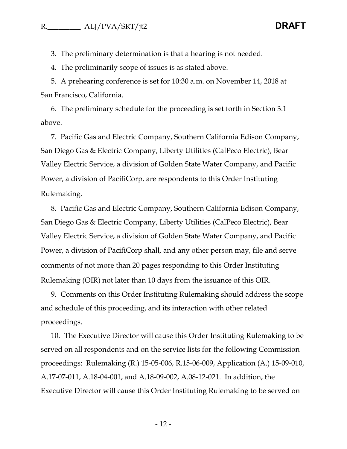3. The preliminary determination is that a hearing is not needed.

4. The preliminarily scope of issues is as stated above.

5. A prehearing conference is set for 10:30 a.m. on November 14, 2018 at San Francisco, California.

6. The preliminary schedule for the proceeding is set forth in Section 3.1 above.

7. Pacific Gas and Electric Company, Southern California Edison Company, San Diego Gas & Electric Company, Liberty Utilities (CalPeco Electric), Bear Valley Electric Service, a division of Golden State Water Company, and Pacific Power, a division of PacifiCorp, are respondents to this Order Instituting Rulemaking.

8. Pacific Gas and Electric Company, Southern California Edison Company, San Diego Gas & Electric Company, Liberty Utilities (CalPeco Electric), Bear Valley Electric Service, a division of Golden State Water Company, and Pacific Power, a division of PacifiCorp shall, and any other person may, file and serve comments of not more than 20 pages responding to this Order Instituting Rulemaking (OIR) not later than 10 days from the issuance of this OIR.

9. Comments on this Order Instituting Rulemaking should address the scope and schedule of this proceeding, and its interaction with other related proceedings.

10. The Executive Director will cause this Order Instituting Rulemaking to be served on all respondents and on the service lists for the following Commission proceedings: Rulemaking (R.) 15-05-006, R.15-06-009, Application (A.) 15-09-010, A.17-07-011, A.18-04-001, and A.18-09-002, A.08-12-021. In addition, the Executive Director will cause this Order Instituting Rulemaking to be served on

- 12 -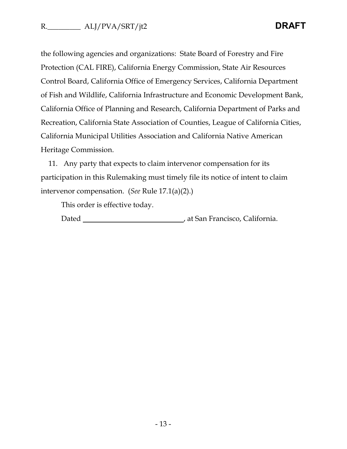the following agencies and organizations: State Board of Forestry and Fire Protection (CAL FIRE), California Energy Commission, State Air Resources Control Board, California Office of Emergency Services, California Department of Fish and Wildlife, California Infrastructure and Economic Development Bank, California Office of Planning and Research, California Department of Parks and Recreation, California State Association of Counties, League of California Cities, California Municipal Utilities Association and California Native American Heritage Commission.

11. Any party that expects to claim intervenor compensation for its participation in this Rulemaking must timely file its notice of intent to claim intervenor compensation. (*See* Rule 17.1(a)(2).)

This order is effective today.

Dated , at San Francisco, California.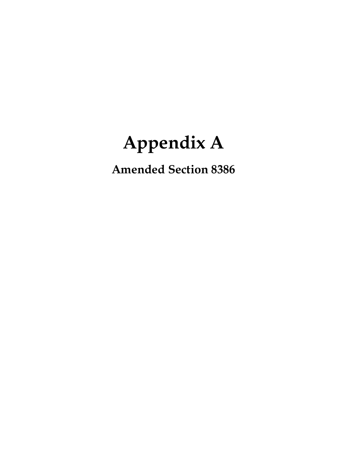# **Appendix A**

**Amended Section 8386**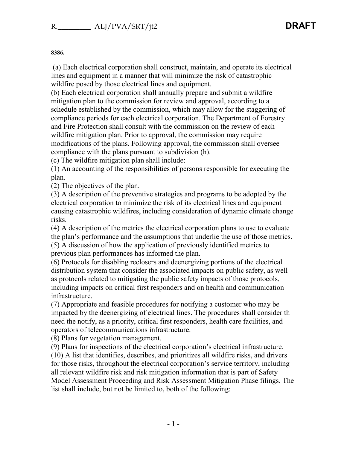#### **8386.**

(a) Each electrical corporation shall construct, maintain, and operate its electrical lines and equipment in a manner that will minimize the risk of catastrophic wildfire posed by those electrical lines and equipment.

(b) Each electrical corporation shall annually prepare and submit a wildfire mitigation plan to the commission for review and approval, according to a schedule established by the commission, which may allow for the staggering of compliance periods for each electrical corporation. The Department of Forestry and Fire Protection shall consult with the commission on the review of each wildfire mitigation plan. Prior to approval, the commission may require modifications of the plans. Following approval, the commission shall oversee compliance with the plans pursuant to subdivision (h).

(c) The wildfire mitigation plan shall include:

(1) An accounting of the responsibilities of persons responsible for executing the plan.

(2) The objectives of the plan.

(3) A description of the preventive strategies and programs to be adopted by the electrical corporation to minimize the risk of its electrical lines and equipment causing catastrophic wildfires, including consideration of dynamic climate change risks.

(4) A description of the metrics the electrical corporation plans to use to evaluate the plan's performance and the assumptions that underlie the use of those metrics. (5) A discussion of how the application of previously identified metrics to previous plan performances has informed the plan.

(6) Protocols for disabling reclosers and deenergizing portions of the electrical distribution system that consider the associated impacts on public safety, as well as protocols related to mitigating the public safety impacts of those protocols, including impacts on critical first responders and on health and communication infrastructure.

(7) Appropriate and feasible procedures for notifying a customer who may be impacted by the deenergizing of electrical lines. The procedures shall consider th need the notify, as a priority, critical first responders, health care facilities, and operators of telecommunications infrastructure.

(8) Plans for vegetation management.

(9) Plans for inspections of the electrical corporation's electrical infrastructure. (10) A list that identifies, describes, and prioritizes all wildfire risks, and drivers for those risks, throughout the electrical corporation's service territory, including all relevant wildfire risk and risk mitigation information that is part of Safety Model Assessment Proceeding and Risk Assessment Mitigation Phase filings. The list shall include, but not be limited to, both of the following: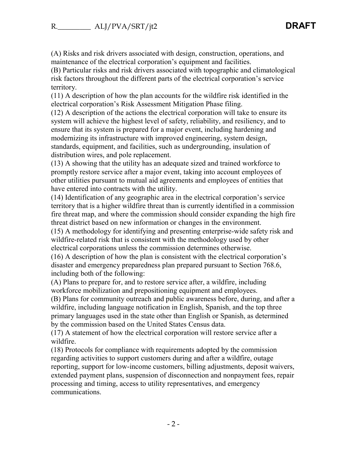(A) Risks and risk drivers associated with design, construction, operations, and maintenance of the electrical corporation's equipment and facilities.

(B) Particular risks and risk drivers associated with topographic and climatological risk factors throughout the different parts of the electrical corporation's service territory.

(11) A description of how the plan accounts for the wildfire risk identified in the electrical corporation's Risk Assessment Mitigation Phase filing.

(12) A description of the actions the electrical corporation will take to ensure its system will achieve the highest level of safety, reliability, and resiliency, and to ensure that its system is prepared for a major event, including hardening and modernizing its infrastructure with improved engineering, system design, standards, equipment, and facilities, such as undergrounding, insulation of distribution wires, and pole replacement.

(13) A showing that the utility has an adequate sized and trained workforce to promptly restore service after a major event, taking into account employees of other utilities pursuant to mutual aid agreements and employees of entities that have entered into contracts with the utility.

(14) Identification of any geographic area in the electrical corporation's service territory that is a higher wildfire threat than is currently identified in a commission fire threat map, and where the commission should consider expanding the high fire threat district based on new information or changes in the environment.

(15) A methodology for identifying and presenting enterprise-wide safety risk and wildfire-related risk that is consistent with the methodology used by other electrical corporations unless the commission determines otherwise.

(16) A description of how the plan is consistent with the electrical corporation's disaster and emergency preparedness plan prepared pursuant to Section 768.6, including both of the following:

(A) Plans to prepare for, and to restore service after, a wildfire, including workforce mobilization and prepositioning equipment and employees.

(B) Plans for community outreach and public awareness before, during, and after a wildfire, including language notification in English, Spanish, and the top three primary languages used in the state other than English or Spanish, as determined by the commission based on the United States Census data.

(17) A statement of how the electrical corporation will restore service after a wildfire.

(18) Protocols for compliance with requirements adopted by the commission regarding activities to support customers during and after a wildfire, outage reporting, support for low-income customers, billing adjustments, deposit waivers, extended payment plans, suspension of disconnection and nonpayment fees, repair processing and timing, access to utility representatives, and emergency communications.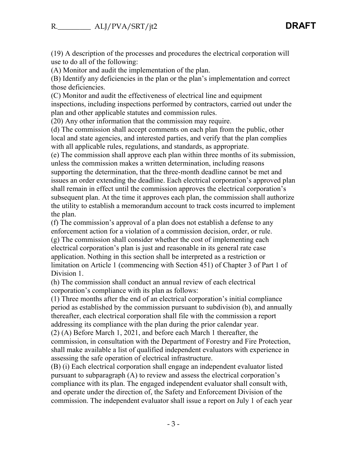(19) A description of the processes and procedures the electrical corporation will use to do all of the following:

(A) Monitor and audit the implementation of the plan.

(B) Identify any deficiencies in the plan or the plan's implementation and correct those deficiencies.

(C) Monitor and audit the effectiveness of electrical line and equipment inspections, including inspections performed by contractors, carried out under the plan and other applicable statutes and commission rules.

(20) Any other information that the commission may require.

(d) The commission shall accept comments on each plan from the public, other local and state agencies, and interested parties, and verify that the plan complies with all applicable rules, regulations, and standards, as appropriate.

(e) The commission shall approve each plan within three months of its submission, unless the commission makes a written determination, including reasons supporting the determination, that the three-month deadline cannot be met and issues an order extending the deadline. Each electrical corporation's approved plan shall remain in effect until the commission approves the electrical corporation's subsequent plan. At the time it approves each plan, the commission shall authorize the utility to establish a memorandum account to track costs incurred to implement the plan.

(f) The commission's approval of a plan does not establish a defense to any enforcement action for a violation of a commission decision, order, or rule.

(g) The commission shall consider whether the cost of implementing each electrical corporation's plan is just and reasonable in its general rate case application. Nothing in this section shall be interpreted as a restriction or limitation on Article 1 (commencing with Section 451) of Chapter 3 of Part 1 of Division 1.

(h) The commission shall conduct an annual review of each electrical corporation's compliance with its plan as follows:

(1) Three months after the end of an electrical corporation's initial compliance period as established by the commission pursuant to subdivision (b), and annually thereafter, each electrical corporation shall file with the commission a report addressing its compliance with the plan during the prior calendar year.

(2) (A) Before March 1, 2021, and before each March 1 thereafter, the commission, in consultation with the Department of Forestry and Fire Protection, shall make available a list of qualified independent evaluators with experience in assessing the safe operation of electrical infrastructure.

(B) (i) Each electrical corporation shall engage an independent evaluator listed pursuant to subparagraph (A) to review and assess the electrical corporation's compliance with its plan. The engaged independent evaluator shall consult with, and operate under the direction of, the Safety and Enforcement Division of the commission. The independent evaluator shall issue a report on July 1 of each year